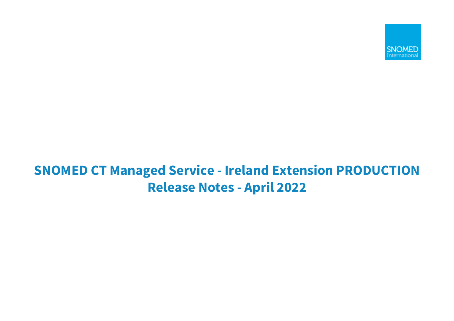

# **SNOMED CT Managed Service - Ireland Extension PRODUCTION Release Notes - April 2022**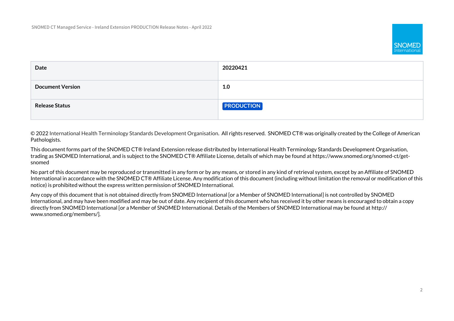

| Date                    | 20220421          |
|-------------------------|-------------------|
| <b>Document Version</b> | 1.0               |
| <b>Release Status</b>   | <b>PRODUCTION</b> |

© 2022 International Health Terminology Standards Development Organisation. All rights reserved. SNOMED CT® was originally created by the College of American Pathologists.

This document forms part of the SNOMED CT® Ireland Extension release distributed by International Health Terminology Standards Development Organisation, trading as SNOMED International, and is subject to the SNOMED CT® Affiliate License, details of which may be found at https://www.snomed.org/snomed-ct/getsnomed

No part of this document may be reproduced or transmitted in any form or by any means, or stored in any kind of retrieval system, except by an Affiliate of SNOMED International in accordance with the SNOMED CT® Affiliate License. Any modification of this document (including without limitation the removal or modification of this notice) is prohibited without the express written permission of SNOMED International.

Any copy of this document that is not obtained directly from SNOMED International [or a Member of SNOMED International] is not controlled by SNOMED International, and may have been modified and may be out of date. Any recipient of this document who has received it by other means is encouraged to obtain a copy directly from SNOMED International [or a Member of SNOMED International. Details of the Members of SNOMED International may be found at http:// www.snomed.org/members/].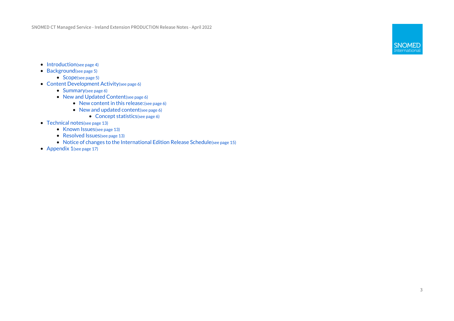SNOMED CT Managed Service - Ireland Extension PRODUCTION Release Notes - April 2022



- [Introduction](#page-3-0)[\(see page 4\)](#page-3-0)
- [Background](#page-4-0)[\(see page 5\)](#page-4-0)
	- [Scope](#page-4-1)[\(see page 5\)](#page-4-1)
- [Content Development Activity](#page-5-0)[\(see page 6\)](#page-5-0)
	- [Summary](#page-5-1)[\(see page 6\)](#page-5-1)
	- [New and Updated Content](#page-5-2)[\(see page 6\)](#page-5-2)
		- [New content in this release:](#page-5-3)[\(see page 6\)](#page-5-3)
		- [New and updated content](#page-5-4)[\(see page 6\)](#page-5-4)
			- [Concept statistics](#page-5-5)[\(see page 6\)](#page-5-5)
- [Technical notes](#page-12-0)[\(see page 13\)](#page-12-0)
	- [Known Issues](#page-12-1)[\(see page 13\)](#page-12-1)
	- [Resolved Issues](#page-12-2)[\(see page 13\)](#page-12-2)
	- [Notice of changes to the International Edition Release Schedule](#page-14-0)[\(see page 15\)](#page-14-0)
- [Appendix 1](#page-16-0)[\(see page 17\)](#page-16-0)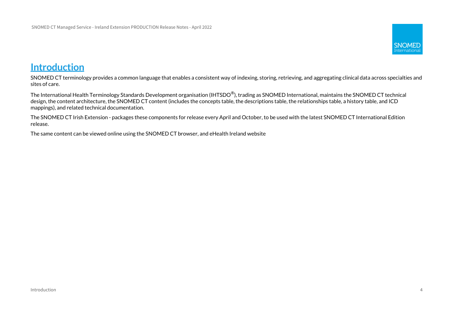

# <span id="page-3-0"></span>**Introduction**

SNOMED CT terminology provides a common language that enables a consistent way of indexing, storing, retrieving, and aggregating clinical data across specialties and sites of care.

The International Health Terminology Standards Development organisation (IHTSDO®), trading as SNOMED International, maintains the SNOMED CT technical design, the content architecture, the SNOMED CT content (includes the concepts table, the descriptions table, the relationships table, a history table, and ICD mappings), and related technical documentation.

The SNOMED CT Irish Extension - packages these components for release every April and October, to be used with the latest SNOMED CT International Edition release.

The same content can be viewed online using the SNOMED CT browser, and eHealth Ireland website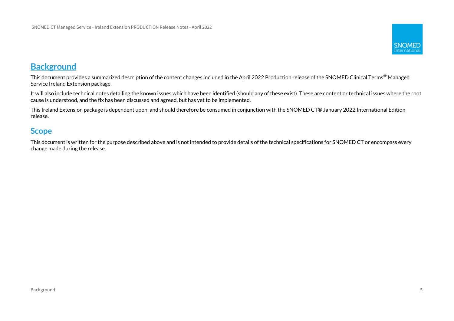

# <span id="page-4-0"></span>**Background**

This document provides a summarized description of the content changes included in the April 2022 Production release of the SNOMED Clinical Terms<sup>®</sup> Managed Service Ireland Extension package.

It will also include technical notes detailing the known issues which have been identified (should any of these exist). These are content or technical issues where the root cause is understood, and the fix has been discussed and agreed, but has yet to be implemented.

This Ireland Extension package is dependent upon, and should therefore be consumed in conjunction with the SNOMED CT® January 2022 International Edition release.

# <span id="page-4-1"></span>**Scope**

This document is written for the purpose described above and is not intended to provide details of the technical specifications for SNOMED CT or encompass every change made during the release.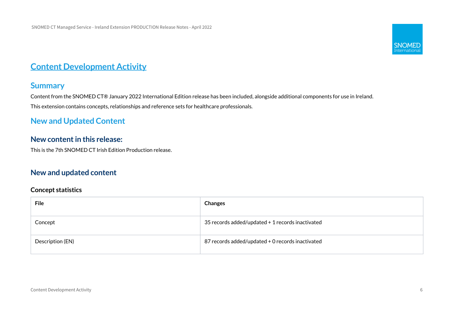

# <span id="page-5-0"></span>**Content Development Activity**

### <span id="page-5-1"></span>**Summary**

Content from the SNOMED CT® January 2022 International Edition release has been included, alongside additional components for use in Ireland. This extension contains concepts, relationships and reference sets for healthcare professionals.

# <span id="page-5-2"></span>**New and Updated Content**

### <span id="page-5-3"></span>**New content in this release:**

This is the 7th SNOMED CT Irish Edition Production release.

### <span id="page-5-4"></span>**New and updated content**

#### <span id="page-5-5"></span>**Concept statistics**

| <b>File</b>      | <b>Changes</b>                                   |
|------------------|--------------------------------------------------|
| Concept          | 35 records added/updated + 1 records inactivated |
| Description (EN) | 87 records added/updated + 0 records inactivated |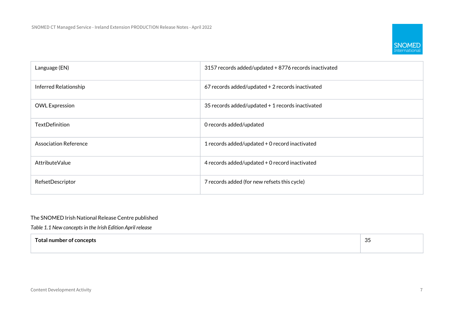

| Language (EN)                | 3157 records added/updated + 8776 records inactivated |
|------------------------------|-------------------------------------------------------|
| Inferred Relationship        | 67 records added/updated + 2 records inactivated      |
| <b>OWL Expression</b>        | 35 records added/updated + 1 records inactivated      |
| <b>TextDefinition</b>        | O records added/updated                               |
| <b>Association Reference</b> | 1 records added/updated + 0 record inactivated        |
| AttributeValue               | 4 records added/updated + 0 record inactivated        |
| RefsetDescriptor             | 7 records added (for new refsets this cycle)          |

#### The SNOMED Irish National Release Centre published

*Table 1.1 New concepts in the Irish Edition April release*

| эп.<br>н | $\sim$ $\sim$<br>ັບ |
|----------|---------------------|
|          |                     |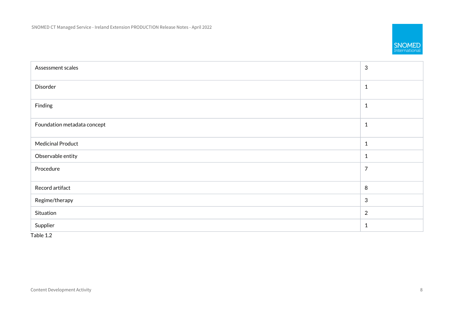

| Assessment scales           | $\mathbf{3}$   |
|-----------------------------|----------------|
| Disorder                    | $\mathbf{1}$   |
| Finding                     | $\mathbf{1}$   |
| Foundation metadata concept | $\mathbf{1}$   |
| <b>Medicinal Product</b>    | $\mathbf{1}$   |
| Observable entity           | $\mathbf{1}$   |
| Procedure                   | $\overline{7}$ |
| Record artifact             | 8              |
| Regime/therapy              | $\mathbf{3}$   |
| Situation                   | 2              |
| Supplier                    | $\mathbf{1}$   |

Table 1.2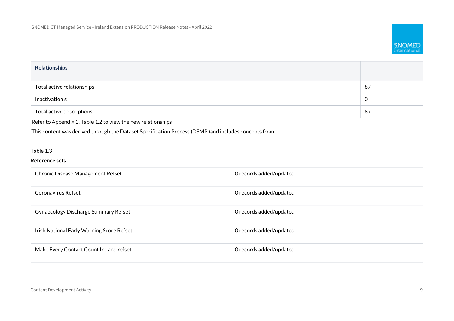

| <b>Relationships</b>       |             |
|----------------------------|-------------|
| Total active relationships | 87          |
| Inactivation's             | $\mathbf 0$ |
| Total active descriptions  | 87          |

Refer to Appendix 1, Table 1.2 to view the new relationships

This content was derived through the Dataset Specification Process (DSMP )and includes concepts from

#### Table 1.3

#### **Reference sets**

| Chronic Disease Management Refset         | O records added/updated |
|-------------------------------------------|-------------------------|
| Coronavirus Refset                        | O records added/updated |
| Gynaecology Discharge Summary Refset      | O records added/updated |
| Irish National Early Warning Score Refset | O records added/updated |
| Make Every Contact Count Ireland refset   | O records added/updated |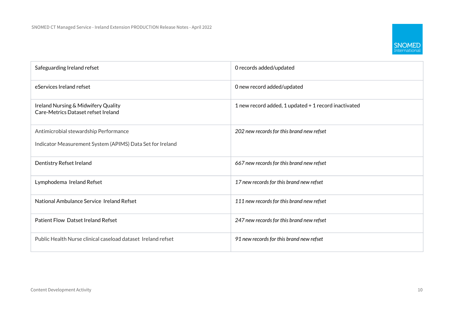

| Safeguarding Ireland refset                                                | O records added/updated                              |
|----------------------------------------------------------------------------|------------------------------------------------------|
| eServices Ireland refset                                                   | O new record added/updated                           |
| Ireland Nursing & Midwifery Quality<br>Care-Metrics Dataset refset Ireland | 1 new record added, 1 updated + 1 record inactivated |
| Antimicrobial stewardship Performance                                      | 202 new records for this brand new refset            |
| Indicator Measurement System (APIMS) Data Set for Ireland                  |                                                      |
| Dentistry Refset Ireland                                                   | 667 new records for this brand new refset            |
| Lymphodema Ireland Refset                                                  | 17 new records for this brand new refset             |
| National Ambulance Service Ireland Refset                                  | 111 new records for this brand new refset            |
| <b>Patient Flow Datset Ireland Refset</b>                                  | 247 new records for this brand new refset            |
| Public Health Nurse clinical caseload dataset Ireland refset               | 91 new records for this brand new refset             |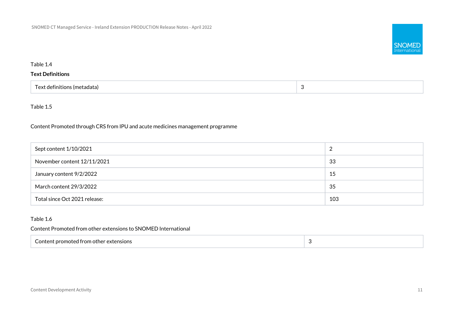

#### Table 1.4

#### **Text Definitions**

| Text definitions (metadata) |  |
|-----------------------------|--|
|-----------------------------|--|

#### Table 1.5

Content Promoted through CRS from IPU and acute medicines management programme

| Sept content 1/10/2021        |     |
|-------------------------------|-----|
| November content 12/11/2021   | -33 |
| January content 9/2/2022      | 15  |
| March content 29/3/2022       | -35 |
| Total since Oct 2021 release: | 103 |

#### Table 1.6

Content Promoted from other extensions to SNOMED International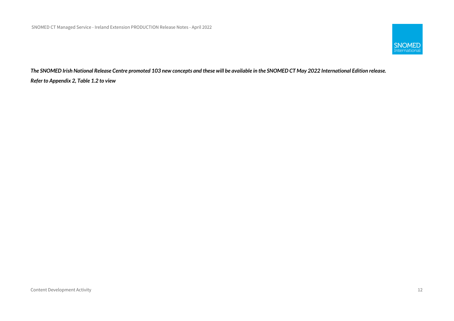

*The SNOMED Irish National Release Centre promoted 103 new concepts and these will be available in the SNOMED CT May 2022 International Edition release. Refer to Appendix 2, Table 1.2 to view*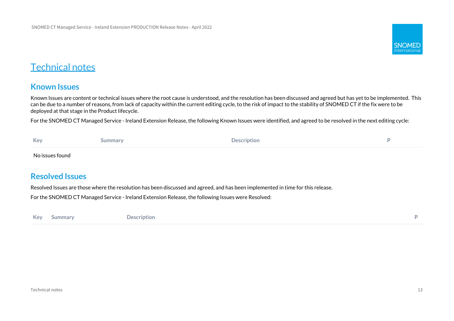

# <span id="page-12-0"></span>Technical notes

# <span id="page-12-1"></span>**Known Issues**

Known Issues are content or technical issues where the root cause is understood, and the resolution has been discussed and agreed but has yet to be implemented. This can be due to a number of reasons, from lack of capacity within the current editing cycle, to the risk of impact to the stability of SNOMED CT if the fix were to be deployed at that stage in the Product lifecycle.

For the SNOMED CT Managed Service - Ireland Extension Release, the following Known Issues were identified, and agreed to be resolved in the next editing cycle:

| Key             | iummary | <b>Description</b> |  |
|-----------------|---------|--------------------|--|
| No issues found |         |                    |  |

### <span id="page-12-2"></span>**Resolved Issues**

Resolved Issues are those where the resolution has been discussed and agreed, and has been implemented in time for this release.

For the SNOMED CT Managed Service - Ireland Extension Release, the following Issues were Resolved:

**Key Summary Description P**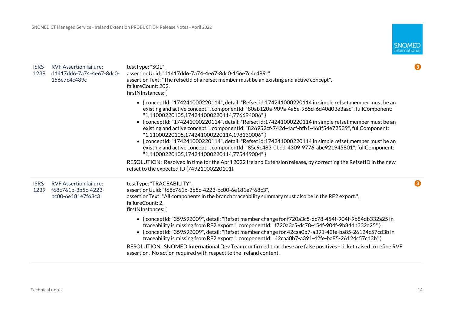| <b>ISRS-</b><br>1238 | <b>RVF Assertion failure:</b><br>d1417dd6-7a74-4e67-8dc0-<br>156e7c4c489c | testType: "SQL",<br>assertionUuid: "d1417dd6-7a74-4e67-8dc0-156e7c4c489c",<br>assertion Text: "The refsetId of a refset member must be an existing and active concept",<br>failureCount: 202.<br>firstNInstances: [                                                                                                                                                                                                                                                                                                                                                                                                                                                                                                                                                                      | $\bullet$ |
|----------------------|---------------------------------------------------------------------------|------------------------------------------------------------------------------------------------------------------------------------------------------------------------------------------------------------------------------------------------------------------------------------------------------------------------------------------------------------------------------------------------------------------------------------------------------------------------------------------------------------------------------------------------------------------------------------------------------------------------------------------------------------------------------------------------------------------------------------------------------------------------------------------|-----------|
|                      |                                                                           | • {conceptId: "174241000220114", detail: "Refset id: 174241000220114 in simple refset member must be an<br>existing and active concept.", componentId: "80ab120a-909a-4a5e-965d-6d40d03e3aac", fullComponent:<br>"1,11000220105,174241000220114,776694006"}<br>• {conceptId: "174241000220114", detail: "Refset id:174241000220114 in simple refset member must be an<br>existing and active concept.", componentId: "826952cf-742d-4acf-bfb1-468f54e72539", fullComponent:<br>"1,11000220105,174241000220114,198130006"}<br>• {conceptId: "174241000220114", detail: "Refset id: 174241000220114 in simple refset member must be an<br>existing and active concept.", componentId: "85c9c483-0bdd-4309-9776-abe921945801", fullComponent:<br>"1,11000220105,174241000220114,775449004"} |           |
|                      |                                                                           | RESOLUTION: Resolved in time for the April 2022 Ireland Extension release, by correcting the RefsetID in the new<br>refset to the expected ID (74921000220101).                                                                                                                                                                                                                                                                                                                                                                                                                                                                                                                                                                                                                          |           |
| ISRS-<br>1239        | <b>RVF Assertion failure:</b><br>f68c761b-3b5c-4223-<br>bc00-6e181e7f68c3 | testType: "TRACEABILITY",<br>assertionUuid: "f68c761b-3b5c-4223-bc00-6e181e7f68c3",<br>assertion Text: "All components in the branch traceability summary must also be in the RF2 export.",<br>failureCount: 2,<br>firstNInstances: [                                                                                                                                                                                                                                                                                                                                                                                                                                                                                                                                                    | 8         |
|                      |                                                                           | • {conceptId: "359592009", detail: "Refset member change for f720a3c5-dc78-454f-904f-9b84db332a25 in<br>traceability is missing from RF2 export.", componentId: "f720a3c5-dc78-454f-904f-9b84db332a25" }<br>• {conceptId: "359592009", detail: "Refset member change for 42caa0b7-a391-42fe-ba85-26124c57cd3b in<br>traceability is missing from RF2 export.", componentld: "42caa0b7-a391-42fe-ba85-26124c57cd3b" }<br>RESOLUTION: SNOMED International Dev Team confirmed that these are false positives - ticket raised to refine RVF<br>assertion. No action required with respect to the Ireland content.                                                                                                                                                                           |           |

**SNOMED**<br>International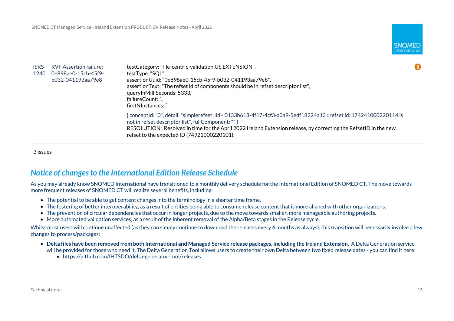

| <b>ISRS-</b><br>1240 | RVF Assertion failure:<br>0e898ae0-15cb-45f9-<br>b032-041193aa79e8 | testCategory: "file-centric-validation, US, EXTENSION",<br>testType: "SQL",<br>assertionUuid: "0e898ae0-15cb-45f9-b032-041193aa79e8",<br>assertion Text: "The refset id of components should be in refset descriptor list",<br>queryInMilliSeconds: 5333,<br>failureCount: 1,<br>firstNInstances: [                                          |
|----------------------|--------------------------------------------------------------------|----------------------------------------------------------------------------------------------------------------------------------------------------------------------------------------------------------------------------------------------------------------------------------------------------------------------------------------------|
|                      |                                                                    | { conceptId: "0", detail: "simplerefset ::id= 0133b613-4f17-4cf3-a3a9-5edf18224a13 ::refset id: 174241000220114 is<br>not in refset descriptor list", fullComponent: "" }<br>RESOLUTION: Resolved in time for the April 2022 Ireland Extension release, by correcting the RefsetID in the new<br>refset to the expected ID (74921000220101). |

3 issues

### <span id="page-14-0"></span>*Notice of changes to the International Edition Release Schedule*

As you may already know SNOMED International have transitioned to a monthly delivery schedule for the International Edition of SNOMED CT. The move towards more frequent releases of SNOMED CT will realize several benefits, including:

- The potential to be able to get content changes into the terminology in a shorter time frame.
- The fostering of better interoperability, as a result of entities being able to consume release content that is more aligned with other organizations.
- The prevention of circular dependencies that occur in longer projects, due to the move towards smaller, more manageable authoring projects.
- More automated validation services, as a result of the inherent removal of the Alpha/Beta stages in the Release cycle.

Whilst most users will continue unaffected (as they can simply continue to download the releases every 6 months as always), this transition will necessarily involve a few changes to process/packages:

- **Delta files have been removed from both International and Managed Service release packages, including the Ireland Extension.** A Delta Generation service will be provided for those who need it. The Delta Generation Tool allows users to create their own Delta between two fixed release dates - you can find it here:
	- https://github.com/IHTSDO/delta-generator-tool/releases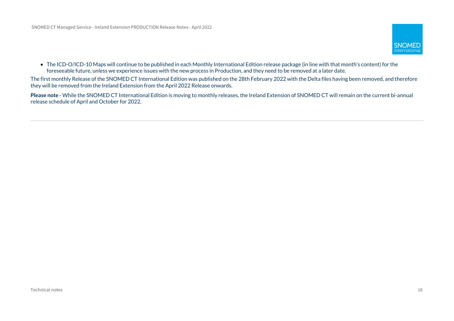

• The ICD-O/ICD-10 Maps will continue to be published in each Monthly International Edition release package (in line with that month's content) for the foreseeable future, unless we experience issues with the new process in Production, and they need to be removed at a later date.

The first monthly Release of the SNOMED CT International Edition was published on the 28th February 2022 with the Delta files having been removed, and therefore they will be removed from the Ireland Extension from the April 2022 Release onwards.

**Please note** - While the SNOMED CT International Edition is moving to monthly releases, the Ireland Extension of SNOMED CT will remain on the current bi-annual release schedule of April and October for 2022.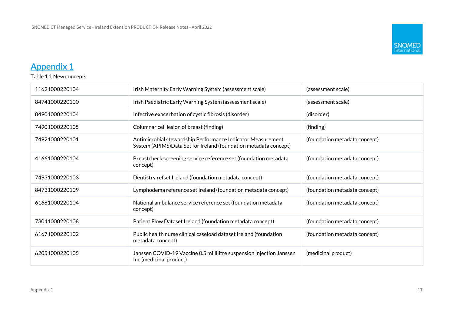

# <span id="page-16-0"></span>**Appendix 1**

Table 1.1 New concepts

| 11621000220104 | Irish Maternity Early Warning System (assessment scale)                                                                          | (assessment scale)            |
|----------------|----------------------------------------------------------------------------------------------------------------------------------|-------------------------------|
| 84741000220100 | Irish Paediatric Early Warning System (assessment scale)                                                                         | (assessment scale)            |
| 84901000220104 | Infective exacerbation of cystic fibrosis (disorder)                                                                             | (disorder)                    |
| 74901000220105 | Columnar cell lesion of breast (finding)                                                                                         | (finding)                     |
| 74921000220101 | Antimicrobial stewardship Performance Indicator Measurement<br>System (APIMS) Data Set for Ireland (foundation metadata concept) | (foundation metadata concept) |
| 41661000220104 | Breastcheck screening service reference set (foundation metadata<br>(foundation metadata concept)<br>concept)                    |                               |
| 74931000220103 | Dentistry refset Ireland (foundation metadata concept)                                                                           | (foundation metadata concept) |
| 84731000220109 | Lymphodema reference set Ireland (foundation metadata concept)                                                                   | (foundation metadata concept) |
| 61681000220104 | National ambulance service reference set (foundation metadata<br>concept)                                                        | (foundation metadata concept) |
| 73041000220108 | Patient Flow Dataset Ireland (foundation metadata concept)<br>(foundation metadata concept)                                      |                               |
| 61671000220102 | Public health nurse clinical caseload dataset Ireland (foundation<br>(foundation metadata concept)<br>metadata concept)          |                               |
| 62051000220105 | Janssen COVID-19 Vaccine 0.5 millilitre suspension injection Janssen<br>Inc (medicinal product)                                  | (medicinal product)           |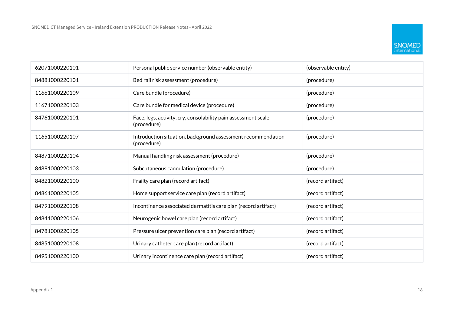

| 62071000220101 | Personal public service number (observable entity)<br>(observable entity)     |                   |  |
|----------------|-------------------------------------------------------------------------------|-------------------|--|
| 84881000220101 | Bed rail risk assessment (procedure)                                          | (procedure)       |  |
| 11661000220109 | Care bundle (procedure)                                                       | (procedure)       |  |
| 11671000220103 | Care bundle for medical device (procedure)                                    | (procedure)       |  |
| 84761000220101 | Face, legs, activity, cry, consolability pain assessment scale<br>(procedure) | (procedure)       |  |
| 11651000220107 | Introduction situation, background assessment recommendation<br>(procedure)   | (procedure)       |  |
| 84871000220104 | Manual handling risk assessment (procedure)                                   | (procedure)       |  |
| 84891000220103 | Subcutaneous cannulation (procedure)                                          | (procedure)       |  |
| 84821000220100 | Frailty care plan (record artifact)                                           | (record artifact) |  |
| 84861000220105 | Home support service care plan (record artifact)                              | (record artifact) |  |
| 84791000220108 | Incontinence associated dermatitis care plan (record artifact)                | (record artifact) |  |
| 84841000220106 | Neurogenic bowel care plan (record artifact)                                  | (record artifact) |  |
| 84781000220105 | Pressure ulcer prevention care plan (record artifact)                         | (record artifact) |  |
| 84851000220108 | Urinary catheter care plan (record artifact)                                  | (record artifact) |  |
| 84951000220100 | Urinary incontinence care plan (record artifact)                              | (record artifact) |  |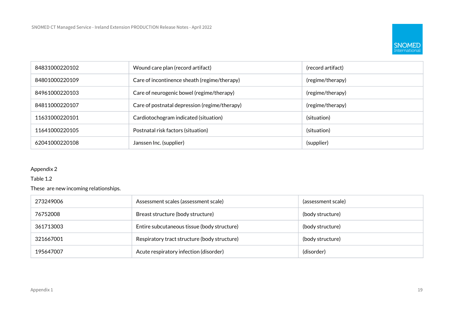

| 84831000220102 | Wound care plan (record artifact)                             | (record artifact) |
|----------------|---------------------------------------------------------------|-------------------|
| 84801000220109 | Care of incontinence sheath (regime/therapy)                  | (regime/therapy)  |
| 84961000220103 | Care of neurogenic bowel (regime/therapy)<br>(regime/therapy) |                   |
| 84811000220107 | Care of postnatal depression (regime/therapy)                 | (regime/therapy)  |
| 11631000220101 | Cardiotochogram indicated (situation)                         | (situation)       |
| 11641000220105 | (situation)<br>Postnatal risk factors (situation)             |                   |
| 62041000220108 | (supplier)<br>Janssen Inc. (supplier)                         |                   |

#### Appendix 2

Table 1.2

These are new incoming relationships.

| 273249006 | Assessment scales (assessment scale)                             | (assessment scale) |
|-----------|------------------------------------------------------------------|--------------------|
| 76752008  | Breast structure (body structure)                                | (body structure)   |
| 361713003 | Entire subcutaneous tissue (body structure)<br>(body structure)  |                    |
| 321667001 | Respiratory tract structure (body structure)<br>(body structure) |                    |
| 195647007 | (disorder)<br>Acute respiratory infection (disorder)             |                    |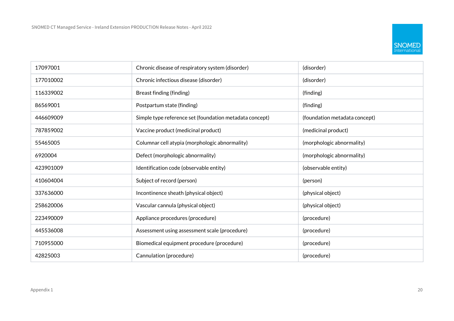

| 17097001  | Chronic disease of respiratory system (disorder)                            | (disorder)                    |
|-----------|-----------------------------------------------------------------------------|-------------------------------|
| 177010002 | Chronic infectious disease (disorder)                                       | (disorder)                    |
| 116339002 | Breast finding (finding)                                                    | (finding)                     |
| 86569001  | Postpartum state (finding)                                                  | (finding)                     |
| 446609009 | Simple type reference set (foundation metadata concept)                     | (foundation metadata concept) |
| 787859002 | Vaccine product (medicinal product)                                         | (medicinal product)           |
| 55465005  | Columnar cell atypia (morphologic abnormality)<br>(morphologic abnormality) |                               |
| 6920004   | Defect (morphologic abnormality)                                            | (morphologic abnormality)     |
| 423901009 | Identification code (observable entity)                                     | (observable entity)           |
| 410604004 | Subject of record (person)                                                  | (person)                      |
| 337636000 | Incontinence sheath (physical object)                                       | (physical object)             |
| 258620006 | Vascular cannula (physical object)                                          | (physical object)             |
| 223490009 | Appliance procedures (procedure)                                            | (procedure)                   |
| 445536008 | Assessment using assessment scale (procedure)                               | (procedure)                   |
| 710955000 | Biomedical equipment procedure (procedure)                                  | (procedure)                   |
| 42825003  | Cannulation (procedure)<br>(procedure)                                      |                               |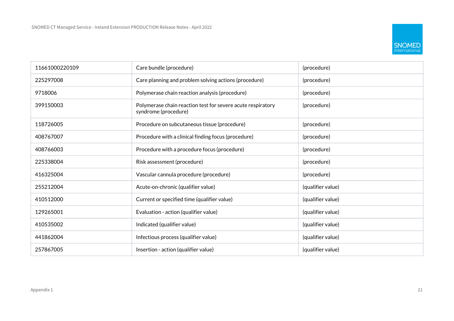

| 11661000220109 | Care bundle (procedure)<br>(procedure)                                                             |                   |  |
|----------------|----------------------------------------------------------------------------------------------------|-------------------|--|
| 225297008      | Care planning and problem solving actions (procedure)                                              | (procedure)       |  |
| 9718006        | Polymerase chain reaction analysis (procedure)                                                     | (procedure)       |  |
| 399150003      | Polymerase chain reaction test for severe acute respiratory<br>(procedure)<br>syndrome (procedure) |                   |  |
| 118726005      | Procedure on subcutaneous tissue (procedure)                                                       | (procedure)       |  |
| 408767007      | Procedure with a clinical finding focus (procedure)                                                | (procedure)       |  |
| 408766003      | Procedure with a procedure focus (procedure)<br>(procedure)                                        |                   |  |
| 225338004      | Risk assessment (procedure)                                                                        | (procedure)       |  |
| 416325004      | Vascular cannula procedure (procedure)<br>(procedure)                                              |                   |  |
| 255212004      | Acute-on-chronic (qualifier value)                                                                 | (qualifier value) |  |
| 410512000      | Current or specified time (qualifier value)                                                        | (qualifier value) |  |
| 129265001      | Evaluation - action (qualifier value)                                                              | (qualifier value) |  |
| 410535002      | Indicated (qualifier value)<br>(qualifier value)                                                   |                   |  |
| 441862004      | Infectious process (qualifier value)                                                               | (qualifier value) |  |
| 257867005      | Insertion - action (qualifier value)                                                               | (qualifier value) |  |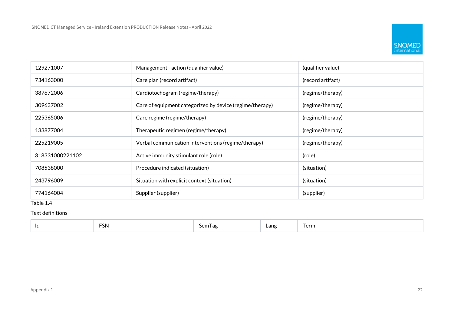

| 129271007       | Management - action (qualifier value)<br>(qualifier value)              |                  |
|-----------------|-------------------------------------------------------------------------|------------------|
| 734163000       | Care plan (record artifact)<br>(record artifact)                        |                  |
| 387672006       | Cardiotochogram (regime/therapy)                                        | (regime/therapy) |
| 309637002       | Care of equipment categorized by device (regime/therapy)                | (regime/therapy) |
| 225365006       | Care regime (regime/therapy)<br>(regime/therapy)                        |                  |
| 133877004       | Therapeutic regimen (regime/therapy)<br>(regime/therapy)                |                  |
| 225219005       | Verbal communication interventions (regime/therapy)<br>(regime/therapy) |                  |
| 318331000221102 | Active immunity stimulant role (role)<br>(role)                         |                  |
| 708538000       | (situation)<br>Procedure indicated (situation)                          |                  |
| 243796009       | Situation with explicit context (situation)<br>(situation)              |                  |
| 774164004       | Supplier (supplier)<br>(supplier)                                       |                  |

#### Table 1.4

Text definitions

| <b>FSN</b><br>$\overline{\phantom{0}}$<br>$\overline{\phantom{a}}$<br>$\sim$<br>Lang<br>I erm<br>Semlag<br>ld<br>the contract of the contract of the |
|------------------------------------------------------------------------------------------------------------------------------------------------------|
|------------------------------------------------------------------------------------------------------------------------------------------------------|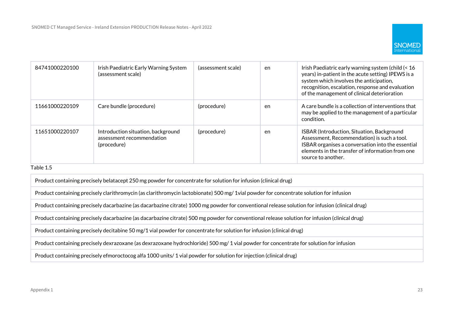

| 84741000220100 | Irish Paediatric Early Warning System<br>(assessment scale)                    | (assessment scale) | en | Irish Paediatric early warning system (child (< 16)<br>years) in-patient in the acute setting) IPEWS is a<br>system which involves the anticipation,<br>recognition, escalation, response and evaluation<br>of the management of clinical deterioration |
|----------------|--------------------------------------------------------------------------------|--------------------|----|---------------------------------------------------------------------------------------------------------------------------------------------------------------------------------------------------------------------------------------------------------|
| 11661000220109 | Care bundle (procedure)                                                        | (procedure)        | en | A care bundle is a collection of interventions that<br>may be applied to the management of a particular<br>condition.                                                                                                                                   |
| 11651000220107 | Introduction situation, background<br>assessment recommendation<br>(procedure) | (procedure)        | en | ISBAR (Introduction, Situation, Background<br>Assessment, Recommendation) is such a tool.<br>ISBAR organises a conversation into the essential<br>elements in the transfer of information from one<br>source to another.                                |

#### Table 1.5

Product containing precisely belatacept 250 mg powder for concentrate for solution for infusion (clinical drug)

Product containing precisely clarithromycin (as clarithromycin lactobionate) 500 mg/ 1vial powder for concentrate solution for infusion

Product containing precisely dacarbazine (as dacarbazine citrate) 1000 mg powder for conventional release solution for infusion (clinical drug)

Product containing precisely dacarbazine (as dacarbazine citrate) 500 mg powder for conventional release solution for infusion (clinical drug)

Product containing precisely decitabine 50 mg/1 vial powder for concentrate for solution for infusion (clinical drug)

Product containing precisely dexrazoxane (as dexrazoxane hydrochloride) 500 mg/ 1 vial powder for concentrate for solution for infusion

Product containing precisely efmoroctocog alfa 1000 units/ 1 vial powder for solution for injection (clinical drug)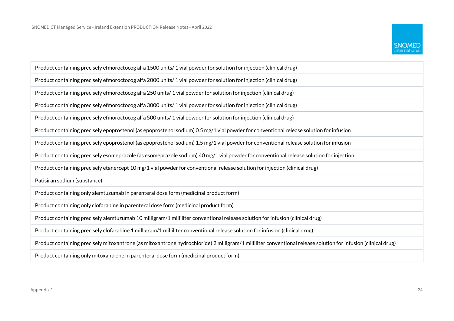

| Product containing precisely efmoroctocog alfa 1500 units/1 vial powder for solution for injection (clinical drug)                                            |
|---------------------------------------------------------------------------------------------------------------------------------------------------------------|
| Product containing precisely efmoroctocog alfa 2000 units/1 vial powder for solution for injection (clinical drug)                                            |
| Product containing precisely efmoroctocog alfa 250 units/1 vial powder for solution for injection (clinical drug)                                             |
| Product containing precisely efmoroctocog alfa 3000 units/1 vial powder for solution for injection (clinical drug)                                            |
| Product containing precisely efmoroctocog alfa 500 units/1 vial powder for solution for injection (clinical drug)                                             |
| Product containing precisely epoprostenol (as epoprostenol sodium) 0.5 mg/1 vial powder for conventional release solution for infusion                        |
| Product containing precisely epoprostenol (as epoprostenol sodium) 1.5 mg/1 vial powder for conventional release solution for infusion                        |
| Product containing precisely esomeprazole (as esomeprazole sodium) 40 mg/1 vial powder for conventional release solution for injection                        |
| Product containing precisely etanercept 10 mg/1 vial powder for conventional release solution for injection (clinical drug)                                   |
| Patisiran sodium (substance)                                                                                                                                  |
| Product containing only alemtuzumab in parenteral dose form (medicinal product form)                                                                          |
| Product containing only clofarabine in parenteral dose form (medicinal product form)                                                                          |
| Product containing precisely alemtuzumab 10 milligram/1 milliliter conventional release solution for infusion (clinical drug)                                 |
| Product containing precisely clofarabine 1 milligram/1 milliliter conventional release solution for infusion (clinical drug)                                  |
| Product containing precisely mitoxantrone (as mitoxantrone hydrochloride) 2 milligram/1 milliliter conventional release solution for infusion (clinical drug) |
| Product containing only mitoxantrone in parenteral dose form (medicinal product form)                                                                         |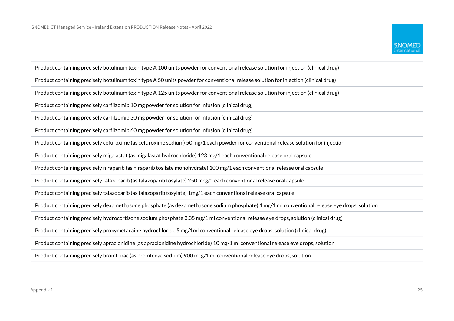

| Product containing precisely botulinum toxin type A 100 units powder for conventional release solution for injection (clinical drug)        |
|---------------------------------------------------------------------------------------------------------------------------------------------|
| Product containing precisely botulinum toxin type A 50 units powder for conventional release solution for injection (clinical drug)         |
| Product containing precisely botulinum toxin type A 125 units powder for conventional release solution for injection (clinical drug)        |
| Product containing precisely carfilzomib 10 mg powder for solution for infusion (clinical drug)                                             |
| Product containing precisely carfilzomib 30 mg powder for solution for infusion (clinical drug)                                             |
| Product containing precisely carfilzomib 60 mg powder for solution for infusion (clinical drug)                                             |
| Product containing precisely cefuroxime (as cefuroxime sodium) 50 mg/1 each powder for conventional release solution for injection          |
| Product containing precisely migalastat (as migalastat hydrochloride) 123 mg/1 each conventional release oral capsule                       |
| Product containing precisely niraparib (as niraparib tosilate monohydrate) 100 mg/1 each conventional release oral capsule                  |
| Product containing precisely talazoparib (as talazoparib tosylate) 250 mcg/1 each conventional release oral capsule                         |
| Product containing precisely talazoparib (as talazoparib tosylate) 1mg/1 each conventional release oral capsule                             |
| Product containing precisely dexamethasone phosphate (as dexamethasone sodium phosphate) 1 mg/1 ml conventional release eye drops, solution |
| Product containing precisely hydrocortisone sodium phosphate 3.35 mg/1 ml conventional release eye drops, solution (clinical drug)          |
| Product containing precisely proxymetacaine hydrochloride 5 mg/1ml conventional release eye drops, solution (clinical drug)                 |
| Product containing precisely apraclonidine (as apraclonidine hydrochloride) 10 mg/1 ml conventional release eye drops, solution             |
| Product containing precisely bromfenac (as bromfenac sodium) 900 mcg/1 ml conventional release eye drops, solution                          |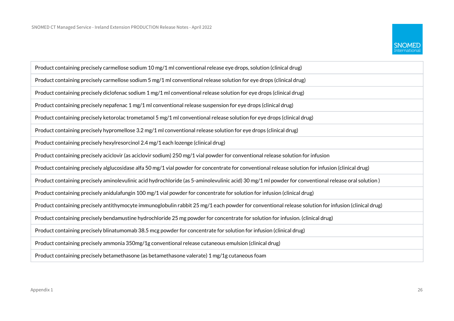

| Product containing precisely carmellose sodium 10 mg/1 ml conventional release eye drops, solution (clinical drug)                                  |
|-----------------------------------------------------------------------------------------------------------------------------------------------------|
| Product containing precisely carmellose sodium 5 mg/1 ml conventional release solution for eye drops (clinical drug)                                |
| Product containing precisely diclofenac sodium 1 mg/1 ml conventional release solution for eye drops (clinical drug)                                |
| Product containing precisely nepafenac 1 mg/1 ml conventional release suspension for eye drops (clinical drug)                                      |
| Product containing precisely ketorolac trometamol 5 mg/1 ml conventional release solution for eye drops (clinical drug)                             |
| Product containing precisely hypromellose 3.2 mg/1 ml conventional release solution for eye drops (clinical drug)                                   |
| Product containing precisely hexylresorcinol 2.4 mg/1 each lozenge (clinical drug)                                                                  |
| Product containing precisely aciclovir (as aciclovir sodium) 250 mg/1 vial powder for conventional release solution for infusion                    |
| Product containing precisely alglucosidase alfa 50 mg/1 vial powder for concentrate for conventional release solution for infusion (clinical drug)  |
| Product containing precisely aminolevulinic acid hydrochloride (as 5-aminolevulinic acid) 30 mg/1 ml powder for conventional release oral solution) |
| Product containing precisely anidulafungin 100 mg/1 vial powder for concentrate for solution for infusion (clinical drug)                           |
| Product containing precisely antithymocyte immunoglobulin rabbit 25 mg/1 each powder for conventional release solution for infusion (clinical drug) |
| Product containing precisely bendamustine hydrochloride 25 mg powder for concentrate for solution for infusion. (clinical drug)                     |
| Product containing precisely blinatumomab 38.5 mcg powder for concentrate for solution for infusion (clinical drug)                                 |
| Product containing precisely ammonia 350mg/1g conventional release cutaneous emulsion (clinical drug)                                               |
| Product containing precisely betamethasone (as betamethasone valerate) 1 mg/1g cutaneous foam                                                       |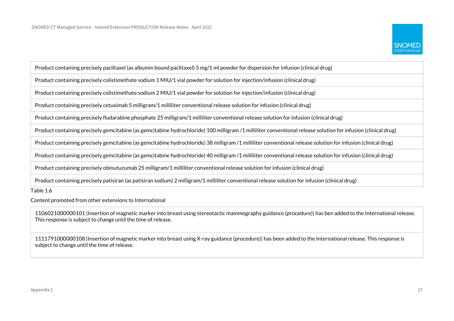

Product containing precisely paclitaxel (as albumin bound paclitaxel) 5 mg/1 ml powder for dispersion for infusion (clinical drug) Product containing precisely colistimethate sodium 1 MIU/1 vial powder for solution for injection/infusion (clinical drug) Product containing precisely colistimethate sodium 2 MIU/1 vial powder for solution for injection/infusion (clinical drug) Product containing precisely cetuximab 5 milligram/1 milliliter conventional release solution for infusion (clinical drug) Product containing precisely fludarabine phosphate 25 milligram/1 milliliter conventional release solution for infusion (clinical drug) Product containing precisely gemcitabine (as gemcitabine hydrochloride) 100 milligram /1 milliliter conventional release solution for infusion (clinical drug) Product containing precisely gemcitabine (as gemcitabine hydrochloride) 38 milligram /1 milliliter conventional release solution for infusion (clinical drug) Product containing precisely gemcitabine (as gemcitabine hydrochloride) 40 milligram /1 milliliter conventional release solution for infusion (clinical drug) Product containing precisely obinutuzumab 25 milligram/1 milliliter conventional release solution for infusion (clinical drug)

Product containing precisely patisiran (as patisiran sodium) 2 milligram/1 milliliter conventional release solution for infusion (clinical drug)

Table 1.6

Content promoted from other extensions to International

1106021000000101 |Insertion of magnetic marker into breast using stereotactic mammography guidance (procedure)| has ben added to the International release. This response is subject to change until the time of release.

1111791000000108 |Insertion of magnetic marker into breast using X-ray guidance (procedure)| has been added to the International release. This response is subject to change until the time of release.